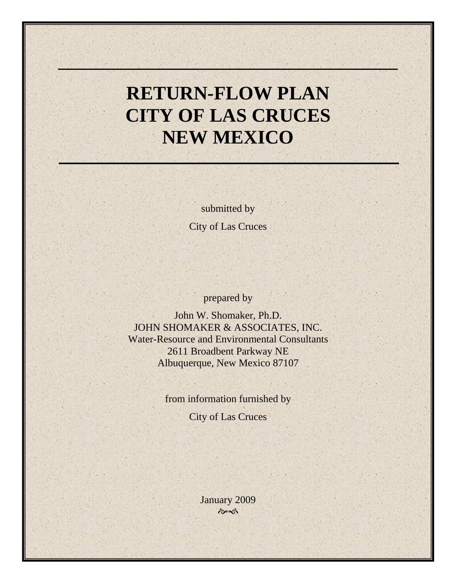# **RETURN-FLOW PLAN CITY OF LAS CRUCES NEW MEXICO**

submitted by City of Las Cruces

prepared by

John W. Shomaker, Ph.D. JOHN SHOMAKER & ASSOCIATES, INC. Water-Resource and Environmental Consultants 2611 Broadbent Parkway NE Albuquerque, New Mexico 87107

from information furnished by

City of Las Cruces

January 2009  $\hat{\sigma}$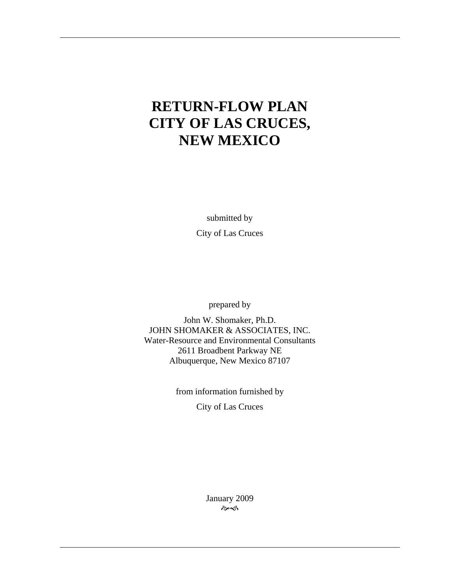## **RETURN-FLOW PLAN CITY OF LAS CRUCES, NEW MEXICO**

submitted by City of Las Cruces

prepared by

John W. Shomaker, Ph.D. JOHN SHOMAKER & ASSOCIATES, INC. Water-Resource and Environmental Consultants 2611 Broadbent Parkway NE Albuquerque, New Mexico 87107

> from information furnished by City of Las Cruces

> > January 2009  $\hat{\sigma}$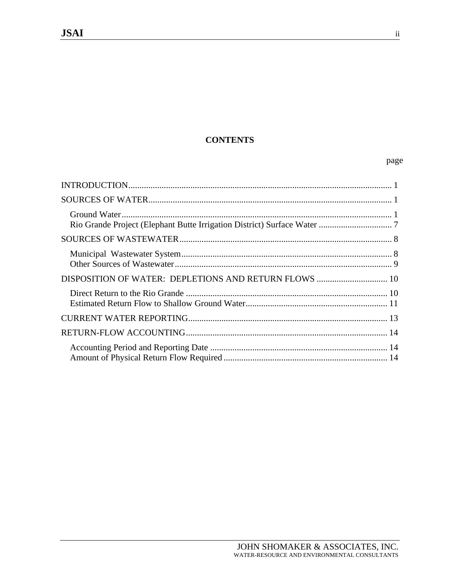## **CONTENTS**

## page

 $\,$ ii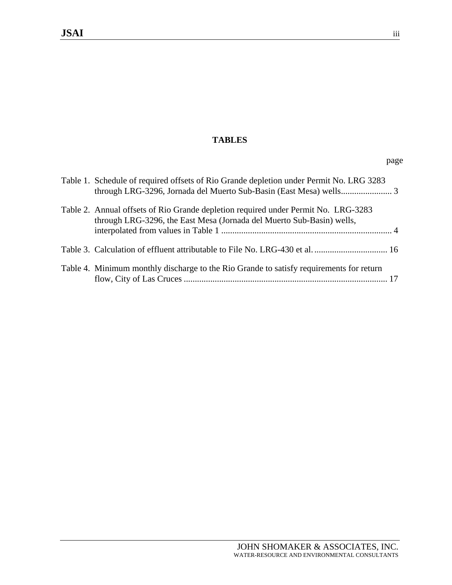## **TABLES**

| Table 1. Schedule of required offsets of Rio Grande depletion under Permit No. LRG 3283                                                                     |  |
|-------------------------------------------------------------------------------------------------------------------------------------------------------------|--|
| Table 2. Annual offsets of Rio Grande depletion required under Permit No. LRG-3283<br>through LRG-3296, the East Mesa (Jornada del Muerto Sub-Basin) wells, |  |
|                                                                                                                                                             |  |
| Table 4. Minimum monthly discharge to the Rio Grande to satisfy requirements for return                                                                     |  |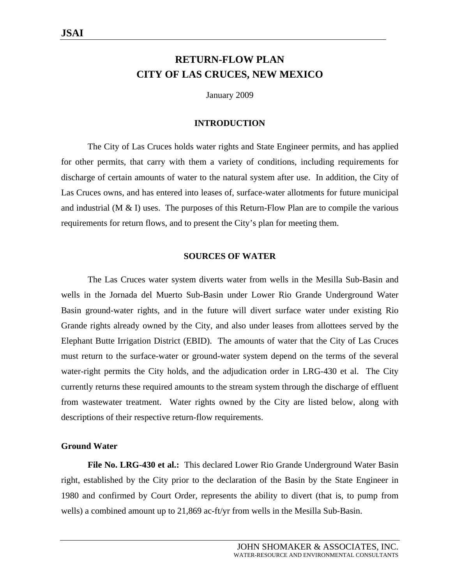## **RETURN-FLOW PLAN CITY OF LAS CRUCES, NEW MEXICO**

January 2009

#### **INTRODUCTION**

 The City of Las Cruces holds water rights and State Engineer permits, and has applied for other permits, that carry with them a variety of conditions, including requirements for discharge of certain amounts of water to the natural system after use. In addition, the City of Las Cruces owns, and has entered into leases of, surface-water allotments for future municipal and industrial (M  $\&$  I) uses. The purposes of this Return-Flow Plan are to compile the various requirements for return flows, and to present the City's plan for meeting them.

#### **SOURCES OF WATER**

The Las Cruces water system diverts water from wells in the Mesilla Sub-Basin and wells in the Jornada del Muerto Sub-Basin under Lower Rio Grande Underground Water Basin ground-water rights, and in the future will divert surface water under existing Rio Grande rights already owned by the City, and also under leases from allottees served by the Elephant Butte Irrigation District (EBID). The amounts of water that the City of Las Cruces must return to the surface-water or ground-water system depend on the terms of the several water-right permits the City holds, and the adjudication order in LRG-430 et al. The City currently returns these required amounts to the stream system through the discharge of effluent from wastewater treatment. Water rights owned by the City are listed below, along with descriptions of their respective return-flow requirements.

#### **Ground Water**

**File No. LRG-430 et al.:** This declared Lower Rio Grande Underground Water Basin right, established by the City prior to the declaration of the Basin by the State Engineer in 1980 and confirmed by Court Order, represents the ability to divert (that is, to pump from wells) a combined amount up to 21,869 ac-ft/yr from wells in the Mesilla Sub-Basin.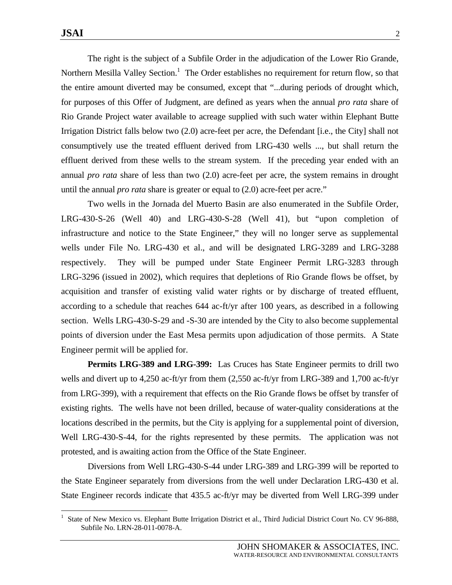The right is the subject of a Subfile Order in the adjudication of the Lower Rio Grande, Northern Mesilla Valley Section.<sup>1</sup> The Order establishes no requirement for return flow, so that the entire amount diverted may be consumed, except that "...during periods of drought which, for purposes of this Offer of Judgment, are defined as years when the annual *pro rata* share of Rio Grande Project water available to acreage supplied with such water within Elephant Butte Irrigation District falls below two (2.0) acre-feet per acre, the Defendant [i.e., the City] shall not consumptively use the treated effluent derived from LRG-430 wells ..., but shall return the effluent derived from these wells to the stream system. If the preceding year ended with an annual *pro rata* share of less than two (2.0) acre-feet per acre, the system remains in drought until the annual *pro rata* share is greater or equal to (2.0) acre-feet per acre."

 Two wells in the Jornada del Muerto Basin are also enumerated in the Subfile Order, LRG-430-S-26 (Well 40) and LRG-430-S-28 (Well 41), but "upon completion of infrastructure and notice to the State Engineer," they will no longer serve as supplemental wells under File No. LRG-430 et al., and will be designated LRG-3289 and LRG-3288 respectively. They will be pumped under State Engineer Permit LRG-3283 through LRG-3296 (issued in 2002), which requires that depletions of Rio Grande flows be offset, by acquisition and transfer of existing valid water rights or by discharge of treated effluent, according to a schedule that reaches 644 ac-ft/yr after 100 years, as described in a following section. Wells LRG-430-S-29 and -S-30 are intended by the City to also become supplemental points of diversion under the East Mesa permits upon adjudication of those permits. A State Engineer permit will be applied for.

**Permits LRG-389 and LRG-399:** Las Cruces has State Engineer permits to drill two wells and divert up to 4,250 ac-ft/yr from them (2,550 ac-ft/yr from LRG-389 and 1,700 ac-ft/yr from LRG-399), with a requirement that effects on the Rio Grande flows be offset by transfer of existing rights. The wells have not been drilled, because of water-quality considerations at the locations described in the permits, but the City is applying for a supplemental point of diversion, Well LRG-430-S-44, for the rights represented by these permits. The application was not protested, and is awaiting action from the Office of the State Engineer.

 Diversions from Well LRG-430-S-44 under LRG-389 and LRG-399 will be reported to the State Engineer separately from diversions from the well under Declaration LRG-430 et al. State Engineer records indicate that 435.5 ac-ft/yr may be diverted from Well LRG-399 under

<sup>1</sup> State of New Mexico vs. Elephant Butte Irrigation District et al., Third Judicial District Court No. CV 96-888, Subfile No. LRN-28-011-0078-A.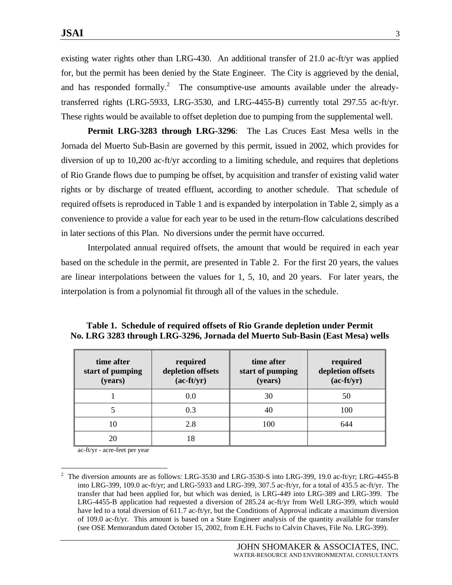existing water rights other than LRG-430. An additional transfer of 21.0 ac-ft/yr was applied for, but the permit has been denied by the State Engineer. The City is aggrieved by the denial, and has responded formally.<sup>2</sup> The consumptive-use amounts available under the alreadytransferred rights (LRG-5933, LRG-3530, and LRG-4455-B) currently total 297.55 ac-ft/yr. These rights would be available to offset depletion due to pumping from the supplemental well.

**Permit LRG-3283 through LRG-3296**: The Las Cruces East Mesa wells in the Jornada del Muerto Sub-Basin are governed by this permit, issued in 2002, which provides for diversion of up to 10,200 ac-ft/yr according to a limiting schedule, and requires that depletions of Rio Grande flows due to pumping be offset, by acquisition and transfer of existing valid water rights or by discharge of treated effluent, according to another schedule. That schedule of required offsets is reproduced in Table 1 and is expanded by interpolation in Table 2, simply as a convenience to provide a value for each year to be used in the return-flow calculations described in later sections of this Plan. No diversions under the permit have occurred.

 Interpolated annual required offsets, the amount that would be required in each year based on the schedule in the permit, are presented in Table 2. For the first 20 years, the values are linear interpolations between the values for 1, 5, 10, and 20 years. For later years, the interpolation is from a polynomial fit through all of the values in the schedule.

| time after<br>start of pumping<br>(years) | required<br>depletion offsets<br>$(ac-ft/yr)$ | time after<br>start of pumping<br>(years) | required<br>depletion offsets<br>$(ac-ft/yr)$ |
|-------------------------------------------|-----------------------------------------------|-------------------------------------------|-----------------------------------------------|
|                                           | 0.0                                           | 30                                        | 50                                            |
|                                           | 0.3                                           | 40                                        | 100                                           |
| 10                                        | 2.8                                           | 100                                       | 644                                           |
| 20                                        | 18                                            |                                           |                                               |

**Table 1. Schedule of required offsets of Rio Grande depletion under Permit No. LRG 3283 through LRG-3296, Jornada del Muerto Sub-Basin (East Mesa) wells** 

ac-ft/yr - acre-feet per year

<sup>&</sup>lt;sup>2</sup> The diversion amounts are as follows: LRG-3530 and LRG-3530-S into LRG-399, 19.0 ac-ft/yr; LRG-4455-B into LRG-399, 109.0 ac-ft/yr; and LRG-5933 and LRG-399, 307.5 ac-ft/yr, for a total of 435.5 ac-ft/yr. The transfer that had been applied for, but which was denied, is LRG-449 into LRG-389 and LRG-399. The LRG-4455-B application had requested a diversion of 285.24 ac-ft/yr from Well LRG-399, which would have led to a total diversion of 611.7 ac-ft/yr, but the Conditions of Approval indicate a maximum diversion of 109.0 ac-ft/yr. This amount is based on a State Engineer analysis of the quantity available for transfer (see OSE Memorandum dated October 15, 2002, from E.H. Fuchs to Calvin Chaves, File No. LRG-399).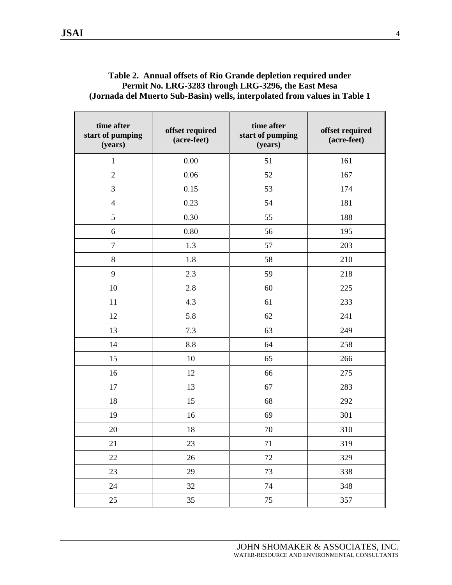|                                                                           | Table 2. Annual offsets of Rio Grande depletion required under |  |
|---------------------------------------------------------------------------|----------------------------------------------------------------|--|
|                                                                           | Permit No. LRG-3283 through LRG-3296, the East Mesa            |  |
| (Jornada del Muerto Sub-Basin) wells, interpolated from values in Table 1 |                                                                |  |
|                                                                           |                                                                |  |
|                                                                           |                                                                |  |

| time after<br>start of pumping<br>(years) | time after<br>offset required<br>start of pumping<br>(acre-feet)<br>(years) |        | offset required<br>(acre-feet) |
|-------------------------------------------|-----------------------------------------------------------------------------|--------|--------------------------------|
| $\mathbf{1}$                              | $0.00\,$                                                                    | 51     | 161                            |
| $\overline{2}$                            | 0.06                                                                        | 52     | 167                            |
| 3                                         | 0.15                                                                        | 53     | 174                            |
| $\overline{4}$                            | 0.23                                                                        | 54     | 181                            |
| 5                                         | 0.30                                                                        | 55     | 188                            |
| 6                                         | $0.80\,$                                                                    | 56     | 195                            |
| $\overline{7}$                            | 1.3                                                                         | 57     | 203                            |
| $8\,$                                     | 1.8                                                                         | 58     | 210                            |
| 9                                         | 2.3                                                                         | 59     | 218                            |
| 10                                        | 2.8                                                                         | 60     | 225                            |
| 11                                        | 4.3                                                                         | 61     | 233                            |
| 12                                        | 5.8                                                                         | 62     | 241                            |
| 13                                        | 7.3                                                                         | 63     | 249                            |
| 14                                        | 8.8                                                                         | 64     | 258                            |
| 15                                        | 10                                                                          | 65     | 266                            |
| 16                                        | 12                                                                          | 66     | 275                            |
| 17                                        | 13                                                                          | 67     | 283                            |
| 18                                        | 15                                                                          | 68     | 292                            |
| 19                                        | 16                                                                          | 69     | 301                            |
| 20                                        | 18                                                                          | 70     | 310                            |
| 21                                        | 23                                                                          | 71     | 319                            |
| 22                                        | $26\,$                                                                      | $72\,$ | 329                            |
| 23                                        | 29                                                                          | 73     | 338                            |
| 24                                        | 32                                                                          | 74     | 348                            |
| 25                                        | 35                                                                          | 75     | 357                            |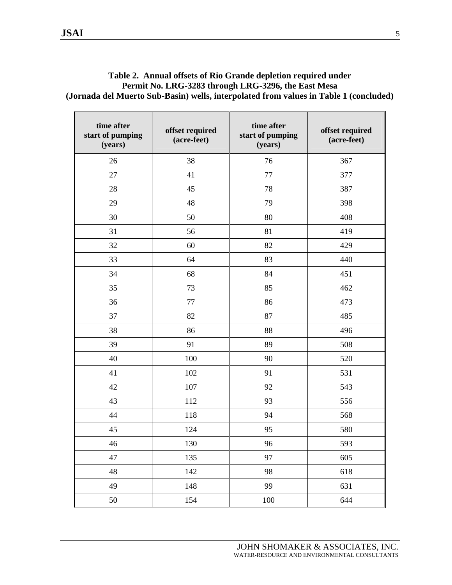#### **Table 2. Annual offsets of Rio Grande depletion required under Permit No. LRG-3283 through LRG-3296, the East Mesa (Jornada del Muerto Sub-Basin) wells, interpolated from values in Table 1 (concluded)**

| time after<br>start of pumping<br>(years) | offset required<br>(acre-feet) | time after<br>start of pumping<br>(years) | offset required<br>(acre-feet) |
|-------------------------------------------|--------------------------------|-------------------------------------------|--------------------------------|
| 26                                        | 38                             | 76                                        | 367                            |
| 27                                        | 41                             | 77                                        | 377                            |
| 28                                        | 45                             | 78                                        | 387                            |
| 29                                        | 48                             | 79                                        | 398                            |
| 30                                        | 50                             | 80                                        | 408                            |
| 31                                        | 56                             | 81                                        | 419                            |
| 32                                        | 60                             | 82                                        | 429                            |
| 33                                        | 64                             | 83                                        | 440                            |
| 34                                        | 68                             | 84                                        | 451                            |
| 35                                        | 73                             | 85                                        | 462                            |
| 36                                        | 77                             | 86                                        | 473                            |
| 37                                        | 82                             | 87                                        | 485                            |
| 38                                        | 86                             | 88                                        | 496                            |
| 39                                        | 91                             | 89                                        | 508                            |
| 40                                        | 100                            | 90                                        | 520                            |
| 41                                        | 102                            | 91                                        | 531                            |
| 42                                        | 107                            | 92                                        | 543                            |
| 43                                        | 112                            | 93                                        | 556                            |
| 44                                        | 118                            | 94                                        | 568                            |
| 45                                        | 124                            | 95                                        | 580                            |
| 46                                        | 130                            | 96                                        | 593                            |
| 47                                        | 135                            | 97                                        | 605                            |
| 48                                        | 142                            | 98                                        | 618                            |
| 49                                        | 148                            | 99                                        | 631                            |
| 50                                        | 154                            | 100                                       | 644                            |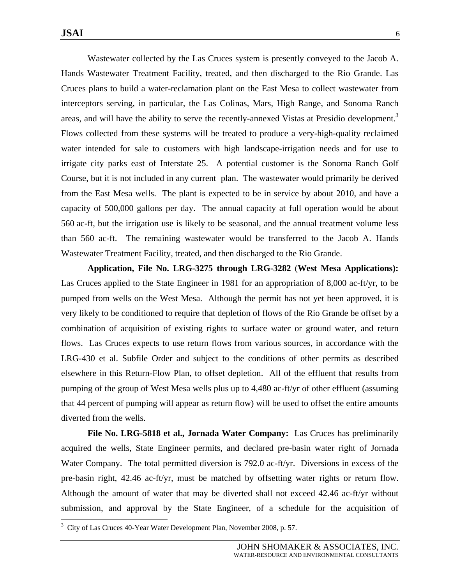Wastewater collected by the Las Cruces system is presently conveyed to the Jacob A. Hands Wastewater Treatment Facility, treated, and then discharged to the Rio Grande. Las Cruces plans to build a water-reclamation plant on the East Mesa to collect wastewater from interceptors serving, in particular, the Las Colinas, Mars, High Range, and Sonoma Ranch areas, and will have the ability to serve the recently-annexed Vistas at Presidio development.<sup>3</sup> Flows collected from these systems will be treated to produce a very-high-quality reclaimed water intended for sale to customers with high landscape-irrigation needs and for use to irrigate city parks east of Interstate 25. A potential customer is the Sonoma Ranch Golf Course, but it is not included in any current plan. The wastewater would primarily be derived from the East Mesa wells. The plant is expected to be in service by about 2010, and have a capacity of 500,000 gallons per day. The annual capacity at full operation would be about 560 ac-ft, but the irrigation use is likely to be seasonal, and the annual treatment volume less than 560 ac-ft. The remaining wastewater would be transferred to the Jacob A. Hands Wastewater Treatment Facility, treated, and then discharged to the Rio Grande.

**Application, File No. LRG-3275 through LRG-3282** (**West Mesa Applications):**  Las Cruces applied to the State Engineer in 1981 for an appropriation of 8,000 ac-ft/yr, to be pumped from wells on the West Mesa. Although the permit has not yet been approved, it is very likely to be conditioned to require that depletion of flows of the Rio Grande be offset by a combination of acquisition of existing rights to surface water or ground water, and return flows. Las Cruces expects to use return flows from various sources, in accordance with the LRG-430 et al. Subfile Order and subject to the conditions of other permits as described elsewhere in this Return-Flow Plan, to offset depletion. All of the effluent that results from pumping of the group of West Mesa wells plus up to 4,480 ac-ft/yr of other effluent (assuming that 44 percent of pumping will appear as return flow) will be used to offset the entire amounts diverted from the wells.

**File No. LRG-5818 et al., Jornada Water Company:** Las Cruces has preliminarily acquired the wells, State Engineer permits, and declared pre-basin water right of Jornada Water Company. The total permitted diversion is 792.0 ac-ft/yr. Diversions in excess of the pre-basin right, 42.46 ac-ft/yr, must be matched by offsetting water rights or return flow. Although the amount of water that may be diverted shall not exceed 42.46 ac-ft/yr without submission, and approval by the State Engineer, of a schedule for the acquisition of

<sup>3</sup> City of Las Cruces 40-Year Water Development Plan, November 2008, p. 57.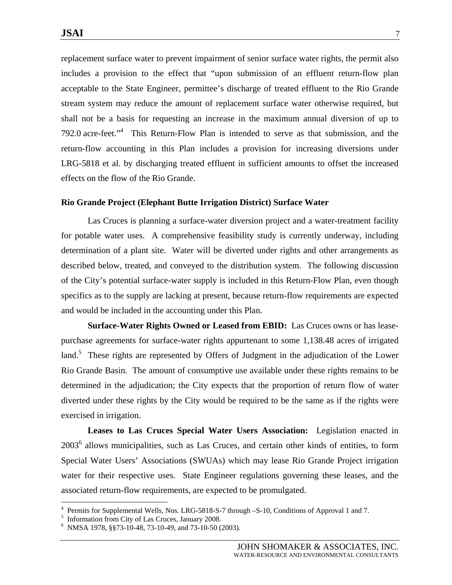replacement surface water to prevent impairment of senior surface water rights, the permit also includes a provision to the effect that "upon submission of an effluent return-flow plan acceptable to the State Engineer, permittee's discharge of treated effluent to the Rio Grande stream system may reduce the amount of replacement surface water otherwise required, but shall not be a basis for requesting an increase in the maximum annual diversion of up to 792.0 acre-feet."4 This Return-Flow Plan is intended to serve as that submission, and the return-flow accounting in this Plan includes a provision for increasing diversions under LRG-5818 et al. by discharging treated effluent in sufficient amounts to offset the increased effects on the flow of the Rio Grande.

#### **Rio Grande Project (Elephant Butte Irrigation District) Surface Water**

Las Cruces is planning a surface-water diversion project and a water-treatment facility for potable water uses. A comprehensive feasibility study is currently underway, including determination of a plant site. Water will be diverted under rights and other arrangements as described below, treated, and conveyed to the distribution system. The following discussion of the City's potential surface-water supply is included in this Return-Flow Plan, even though specifics as to the supply are lacking at present, because return-flow requirements are expected and would be included in the accounting under this Plan.

**Surface-Water Rights Owned or Leased from EBID:** Las Cruces owns or has leasepurchase agreements for surface-water rights appurtenant to some 1,138.48 acres of irrigated land.<sup>5</sup> These rights are represented by Offers of Judgment in the adjudication of the Lower Rio Grande Basin. The amount of consumptive use available under these rights remains to be determined in the adjudication; the City expects that the proportion of return flow of water diverted under these rights by the City would be required to be the same as if the rights were exercised in irrigation.

**Leases to Las Cruces Special Water Users Association:** Legislation enacted in  $2003<sup>6</sup>$  allows municipalities, such as Las Cruces, and certain other kinds of entities, to form Special Water Users' Associations (SWUAs) which may lease Rio Grande Project irrigation water for their respective uses. State Engineer regulations governing these leases, and the associated return-flow requirements, are expected to be promulgated.

 $\overline{a}$ 

<sup>4</sup> Permits for Supplemental Wells, Nos. LRG-5818-S-7 through –S-10, Conditions of Approval 1 and 7.

<sup>5</sup> Information from City of Las Cruces, January 2008.

<sup>6</sup> NMSA 1978, §§73-10-48, 73-10-49, and 73-10-50 (2003).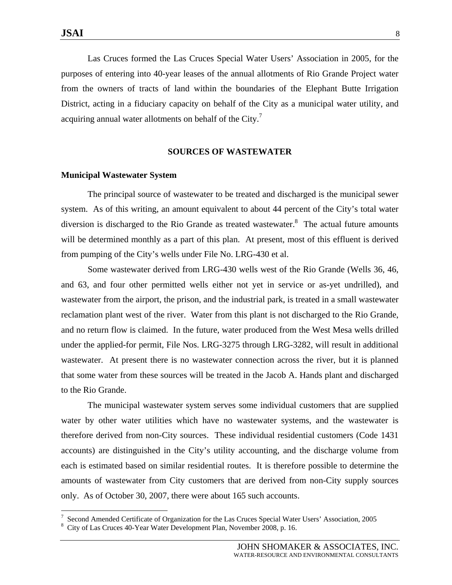Las Cruces formed the Las Cruces Special Water Users' Association in 2005, for the purposes of entering into 40-year leases of the annual allotments of Rio Grande Project water from the owners of tracts of land within the boundaries of the Elephant Butte Irrigation District, acting in a fiduciary capacity on behalf of the City as a municipal water utility, and acquiring annual water allotments on behalf of the City. $^7$ 

#### **SOURCES OF WASTEWATER**

#### **Municipal Wastewater System**

The principal source of wastewater to be treated and discharged is the municipal sewer system. As of this writing, an amount equivalent to about 44 percent of the City's total water diversion is discharged to the Rio Grande as treated wastewater. $8$  The actual future amounts will be determined monthly as a part of this plan. At present, most of this effluent is derived from pumping of the City's wells under File No. LRG-430 et al.

 Some wastewater derived from LRG-430 wells west of the Rio Grande (Wells 36, 46, and 63, and four other permitted wells either not yet in service or as-yet undrilled), and wastewater from the airport, the prison, and the industrial park, is treated in a small wastewater reclamation plant west of the river. Water from this plant is not discharged to the Rio Grande, and no return flow is claimed. In the future, water produced from the West Mesa wells drilled under the applied-for permit, File Nos. LRG-3275 through LRG-3282, will result in additional wastewater. At present there is no wastewater connection across the river, but it is planned that some water from these sources will be treated in the Jacob A. Hands plant and discharged to the Rio Grande.

 The municipal wastewater system serves some individual customers that are supplied water by other water utilities which have no wastewater systems, and the wastewater is therefore derived from non-City sources. These individual residential customers (Code 1431 accounts) are distinguished in the City's utility accounting, and the discharge volume from each is estimated based on similar residential routes. It is therefore possible to determine the amounts of wastewater from City customers that are derived from non-City supply sources only. As of October 30, 2007, there were about 165 such accounts.

JOHN SHOMAKER & ASSOCIATES, INC. WATER-RESOURCE AND ENVIRONMENTAL CONSULTANTS

<sup>7</sup> Second Amended Certificate of Organization for the Las Cruces Special Water Users' Association, 2005 8

City of Las Cruces 40-Year Water Development Plan, November 2008, p. 16.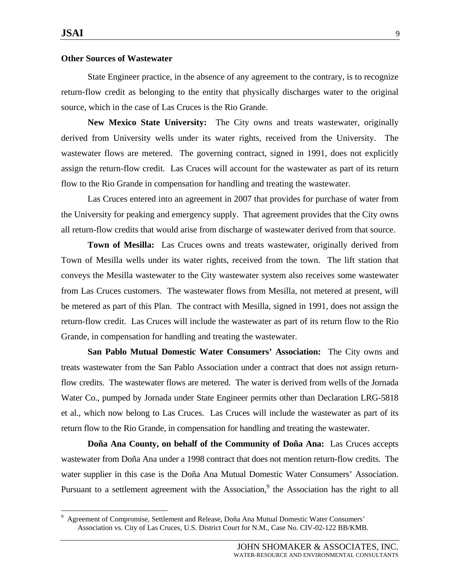#### **Other Sources of Wastewater**

State Engineer practice, in the absence of any agreement to the contrary, is to recognize return-flow credit as belonging to the entity that physically discharges water to the original source, which in the case of Las Cruces is the Rio Grande.

**New Mexico State University:** The City owns and treats wastewater, originally derived from University wells under its water rights, received from the University. The wastewater flows are metered. The governing contract, signed in 1991, does not explicitly assign the return-flow credit. Las Cruces will account for the wastewater as part of its return flow to the Rio Grande in compensation for handling and treating the wastewater.

 Las Cruces entered into an agreement in 2007 that provides for purchase of water from the University for peaking and emergency supply. That agreement provides that the City owns all return-flow credits that would arise from discharge of wastewater derived from that source.

**Town of Mesilla:** Las Cruces owns and treats wastewater, originally derived from Town of Mesilla wells under its water rights, received from the town. The lift station that conveys the Mesilla wastewater to the City wastewater system also receives some wastewater from Las Cruces customers. The wastewater flows from Mesilla, not metered at present, will be metered as part of this Plan. The contract with Mesilla, signed in 1991, does not assign the return-flow credit. Las Cruces will include the wastewater as part of its return flow to the Rio Grande, in compensation for handling and treating the wastewater.

**San Pablo Mutual Domestic Water Consumers' Association:** The City owns and treats wastewater from the San Pablo Association under a contract that does not assign returnflow credits. The wastewater flows are metered. The water is derived from wells of the Jornada Water Co., pumped by Jornada under State Engineer permits other than Declaration LRG-5818 et al., which now belong to Las Cruces. Las Cruces will include the wastewater as part of its return flow to the Rio Grande, in compensation for handling and treating the wastewater.

**Doña Ana County, on behalf of the Community of Doña Ana:** Las Cruces accepts wastewater from Doña Ana under a 1998 contract that does not mention return-flow credits. The water supplier in this case is the Doña Ana Mutual Domestic Water Consumers' Association. Pursuant to a settlement agreement with the Association,<sup>9</sup> the Association has the right to all

<sup>9</sup> Agreement of Compromise, Settlement and Release, Doña Ana Mutual Domestic Water Consumers' Association vs. City of Las Cruces, U.S. District Court for N.M., Case No. CIV-02-122 BB/KMB.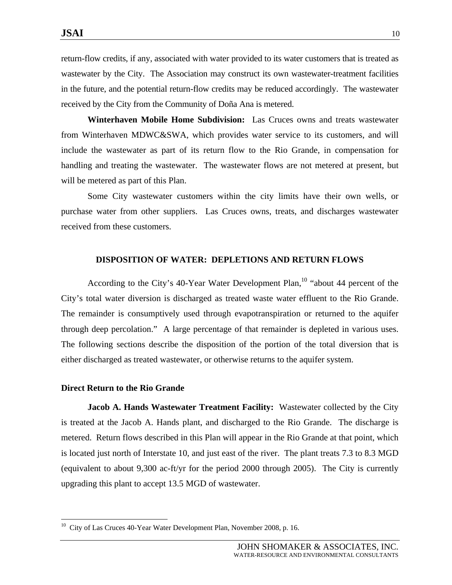return-flow credits, if any, associated with water provided to its water customers that is treated as wastewater by the City. The Association may construct its own wastewater-treatment facilities in the future, and the potential return-flow credits may be reduced accordingly. The wastewater received by the City from the Community of Doña Ana is metered.

**Winterhaven Mobile Home Subdivision:** Las Cruces owns and treats wastewater from Winterhaven MDWC&SWA, which provides water service to its customers, and will include the wastewater as part of its return flow to the Rio Grande, in compensation for handling and treating the wastewater. The wastewater flows are not metered at present, but will be metered as part of this Plan.

 Some City wastewater customers within the city limits have their own wells, or purchase water from other suppliers. Las Cruces owns, treats, and discharges wastewater received from these customers.

#### **DISPOSITION OF WATER: DEPLETIONS AND RETURN FLOWS**

According to the City's 40-Year Water Development Plan,<sup>10</sup> "about 44 percent of the City's total water diversion is discharged as treated waste water effluent to the Rio Grande. The remainder is consumptively used through evapotranspiration or returned to the aquifer through deep percolation." A large percentage of that remainder is depleted in various uses. The following sections describe the disposition of the portion of the total diversion that is either discharged as treated wastewater, or otherwise returns to the aquifer system.

#### **Direct Return to the Rio Grande**

 $\overline{a}$ 

 **Jacob A. Hands Wastewater Treatment Facility:** Wastewater collected by the City is treated at the Jacob A. Hands plant, and discharged to the Rio Grande. The discharge is metered. Return flows described in this Plan will appear in the Rio Grande at that point, which is located just north of Interstate 10, and just east of the river. The plant treats 7.3 to 8.3 MGD (equivalent to about 9,300 ac-ft/yr for the period 2000 through 2005). The City is currently upgrading this plant to accept 13.5 MGD of wastewater.

<sup>&</sup>lt;sup>10</sup> City of Las Cruces 40-Year Water Development Plan, November 2008, p. 16.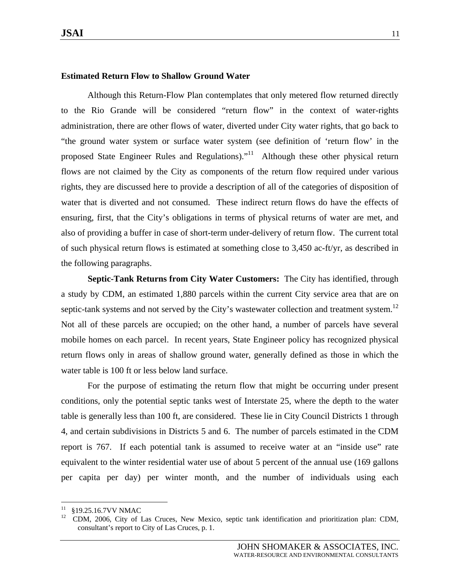#### **Estimated Return Flow to Shallow Ground Water**

Although this Return-Flow Plan contemplates that only metered flow returned directly to the Rio Grande will be considered "return flow" in the context of water-rights administration, there are other flows of water, diverted under City water rights, that go back to "the ground water system or surface water system (see definition of 'return flow' in the proposed State Engineer Rules and Regulations)."11 Although these other physical return flows are not claimed by the City as components of the return flow required under various rights, they are discussed here to provide a description of all of the categories of disposition of water that is diverted and not consumed. These indirect return flows do have the effects of ensuring, first, that the City's obligations in terms of physical returns of water are met, and also of providing a buffer in case of short-term under-delivery of return flow. The current total of such physical return flows is estimated at something close to 3,450 ac-ft/yr, as described in the following paragraphs.

 **Septic-Tank Returns from City Water Customers:** The City has identified, through a study by CDM, an estimated 1,880 parcels within the current City service area that are on septic-tank systems and not served by the City's wastewater collection and treatment system.<sup>12</sup> Not all of these parcels are occupied; on the other hand, a number of parcels have several mobile homes on each parcel. In recent years, State Engineer policy has recognized physical return flows only in areas of shallow ground water, generally defined as those in which the water table is 100 ft or less below land surface.

 For the purpose of estimating the return flow that might be occurring under present conditions, only the potential septic tanks west of Interstate 25, where the depth to the water table is generally less than 100 ft, are considered. These lie in City Council Districts 1 through 4, and certain subdivisions in Districts 5 and 6. The number of parcels estimated in the CDM report is 767. If each potential tank is assumed to receive water at an "inside use" rate equivalent to the winter residential water use of about 5 percent of the annual use (169 gallons per capita per day) per winter month, and the number of individuals using each

 $11\,$  $^{11}$  §19.25.16.7VV NMAC

<sup>12</sup> CDM, 2006, City of Las Cruces, New Mexico, septic tank identification and prioritization plan: CDM, consultant's report to City of Las Cruces, p. 1.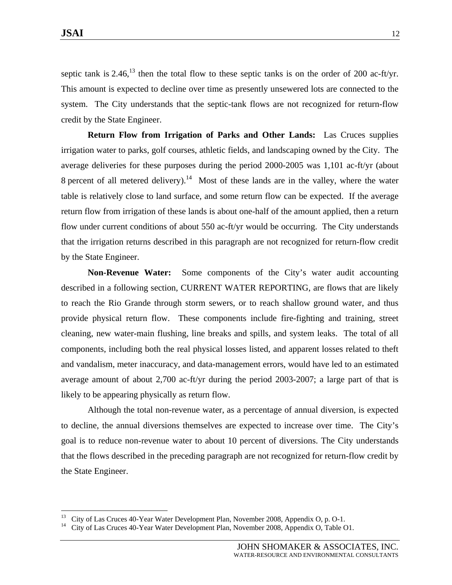septic tank is 2.46,<sup>13</sup> then the total flow to these septic tanks is on the order of 200 ac-ft/yr. This amount is expected to decline over time as presently unsewered lots are connected to the system. The City understands that the septic-tank flows are not recognized for return-flow credit by the State Engineer.

 **Return Flow from Irrigation of Parks and Other Lands:** Las Cruces supplies irrigation water to parks, golf courses, athletic fields, and landscaping owned by the City. The average deliveries for these purposes during the period 2000-2005 was 1,101 ac-ft/yr (about 8 percent of all metered delivery).<sup>14</sup> Most of these lands are in the valley, where the water table is relatively close to land surface, and some return flow can be expected. If the average return flow from irrigation of these lands is about one-half of the amount applied, then a return flow under current conditions of about 550 ac-ft/yr would be occurring. The City understands that the irrigation returns described in this paragraph are not recognized for return-flow credit by the State Engineer.

 **Non-Revenue Water:** Some components of the City's water audit accounting described in a following section, CURRENT WATER REPORTING, are flows that are likely to reach the Rio Grande through storm sewers, or to reach shallow ground water, and thus provide physical return flow. These components include fire-fighting and training, street cleaning, new water-main flushing, line breaks and spills, and system leaks. The total of all components, including both the real physical losses listed, and apparent losses related to theft and vandalism, meter inaccuracy, and data-management errors, would have led to an estimated average amount of about 2,700 ac-ft/yr during the period 2003-2007; a large part of that is likely to be appearing physically as return flow.

 Although the total non-revenue water, as a percentage of annual diversion, is expected to decline, the annual diversions themselves are expected to increase over time. The City's goal is to reduce non-revenue water to about 10 percent of diversions. The City understands that the flows described in the preceding paragraph are not recognized for return-flow credit by the State Engineer.

<sup>&</sup>lt;sup>13</sup> City of Las Cruces 40-Year Water Development Plan, November 2008, Appendix O, p. O-1.<br><sup>14</sup> City of Las Cruces 40 Year Water Development Plan, November 2008, Appendix O, Teblo G

<sup>14</sup> City of Las Cruces 40-Year Water Development Plan, November 2008, Appendix O, Table O1.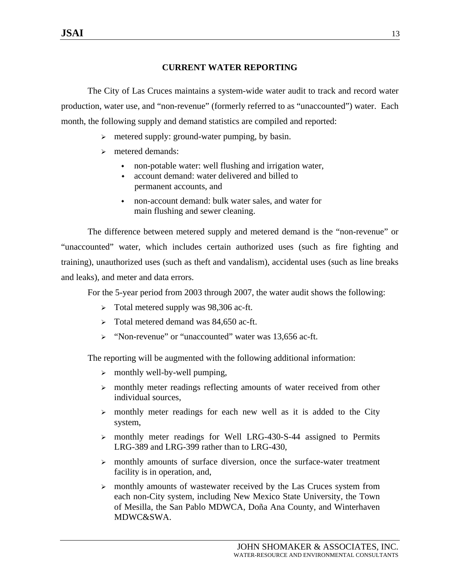## **CURRENT WATER REPORTING**

 The City of Las Cruces maintains a system-wide water audit to track and record water production, water use, and "non-revenue" (formerly referred to as "unaccounted") water. Each month, the following supply and demand statistics are compiled and reported:

- $\triangleright$  metered supply: ground-water pumping, by basin.
- $\triangleright$  metered demands:
	- non-potable water: well flushing and irrigation water,
	- account demand: water delivered and billed to permanent accounts, and
	- non-account demand: bulk water sales, and water for main flushing and sewer cleaning.

 The difference between metered supply and metered demand is the "non-revenue" or "unaccounted" water, which includes certain authorized uses (such as fire fighting and training), unauthorized uses (such as theft and vandalism), accidental uses (such as line breaks and leaks), and meter and data errors.

For the 5-year period from 2003 through 2007, the water audit shows the following:

- ¾ Total metered supply was 98,306 ac-ft.
- $\triangleright$  Total metered demand was 84,650 ac-ft.
- ¾ "Non-revenue" or "unaccounted" water was 13,656 ac-ft.

The reporting will be augmented with the following additional information:

- $\triangleright$  monthly well-by-well pumping,
- $\triangleright$  monthly meter readings reflecting amounts of water received from other individual sources,
- $\triangleright$  monthly meter readings for each new well as it is added to the City system,
- $\triangleright$  monthly meter readings for Well LRG-430-S-44 assigned to Permits LRG-389 and LRG-399 rather than to LRG-430,
- $\triangleright$  monthly amounts of surface diversion, once the surface-water treatment facility is in operation, and,
- $\triangleright$  monthly amounts of wastewater received by the Las Cruces system from each non-City system, including New Mexico State University, the Town of Mesilla, the San Pablo MDWCA, Doña Ana County, and Winterhaven MDWC&SWA.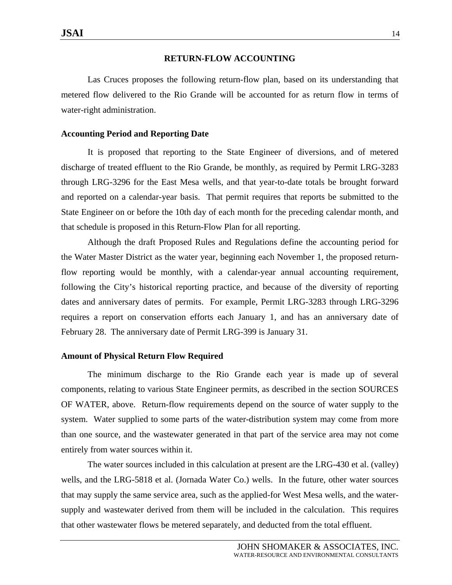#### **RETURN-FLOW ACCOUNTING**

 Las Cruces proposes the following return-flow plan, based on its understanding that metered flow delivered to the Rio Grande will be accounted for as return flow in terms of water-right administration.

#### **Accounting Period and Reporting Date**

It is proposed that reporting to the State Engineer of diversions, and of metered discharge of treated effluent to the Rio Grande, be monthly, as required by Permit LRG-3283 through LRG-3296 for the East Mesa wells, and that year-to-date totals be brought forward and reported on a calendar-year basis. That permit requires that reports be submitted to the State Engineer on or before the 10th day of each month for the preceding calendar month, and that schedule is proposed in this Return-Flow Plan for all reporting.

 Although the draft Proposed Rules and Regulations define the accounting period for the Water Master District as the water year, beginning each November 1, the proposed returnflow reporting would be monthly, with a calendar-year annual accounting requirement, following the City's historical reporting practice, and because of the diversity of reporting dates and anniversary dates of permits. For example, Permit LRG-3283 through LRG-3296 requires a report on conservation efforts each January 1, and has an anniversary date of February 28. The anniversary date of Permit LRG-399 is January 31.

#### **Amount of Physical Return Flow Required**

The minimum discharge to the Rio Grande each year is made up of several components, relating to various State Engineer permits, as described in the section SOURCES OF WATER, above. Return-flow requirements depend on the source of water supply to the system. Water supplied to some parts of the water-distribution system may come from more than one source, and the wastewater generated in that part of the service area may not come entirely from water sources within it.

 The water sources included in this calculation at present are the LRG-430 et al. (valley) wells, and the LRG-5818 et al. (Jornada Water Co.) wells. In the future, other water sources that may supply the same service area, such as the applied-for West Mesa wells, and the watersupply and wastewater derived from them will be included in the calculation. This requires that other wastewater flows be metered separately, and deducted from the total effluent.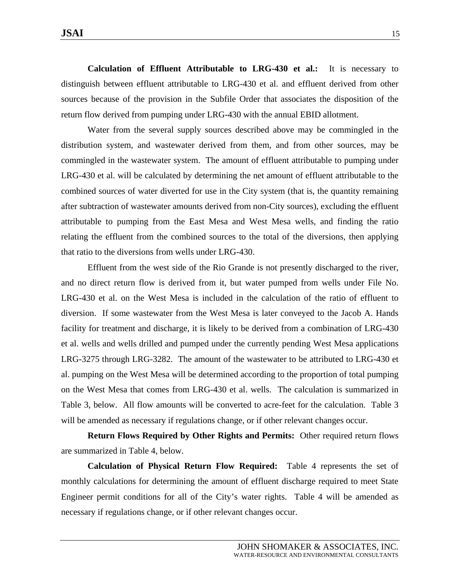**Calculation of Effluent Attributable to LRG-430 et al.:** It is necessary to distinguish between effluent attributable to LRG-430 et al. and effluent derived from other sources because of the provision in the Subfile Order that associates the disposition of the return flow derived from pumping under LRG-430 with the annual EBID allotment.

 Water from the several supply sources described above may be commingled in the distribution system, and wastewater derived from them, and from other sources, may be commingled in the wastewater system. The amount of effluent attributable to pumping under LRG-430 et al. will be calculated by determining the net amount of effluent attributable to the combined sources of water diverted for use in the City system (that is, the quantity remaining after subtraction of wastewater amounts derived from non-City sources), excluding the effluent attributable to pumping from the East Mesa and West Mesa wells, and finding the ratio relating the effluent from the combined sources to the total of the diversions, then applying that ratio to the diversions from wells under LRG-430.

 Effluent from the west side of the Rio Grande is not presently discharged to the river, and no direct return flow is derived from it, but water pumped from wells under File No. LRG-430 et al. on the West Mesa is included in the calculation of the ratio of effluent to diversion. If some wastewater from the West Mesa is later conveyed to the Jacob A. Hands facility for treatment and discharge, it is likely to be derived from a combination of LRG-430 et al. wells and wells drilled and pumped under the currently pending West Mesa applications LRG-3275 through LRG-3282. The amount of the wastewater to be attributed to LRG-430 et al. pumping on the West Mesa will be determined according to the proportion of total pumping on the West Mesa that comes from LRG-430 et al. wells. The calculation is summarized in Table 3, below. All flow amounts will be converted to acre-feet for the calculation. Table 3 will be amended as necessary if regulations change, or if other relevant changes occur.

**Return Flows Required by Other Rights and Permits:** Other required return flows are summarized in Table 4, below.

**Calculation of Physical Return Flow Required:** Table 4 represents the set of monthly calculations for determining the amount of effluent discharge required to meet State Engineer permit conditions for all of the City's water rights. Table 4 will be amended as necessary if regulations change, or if other relevant changes occur.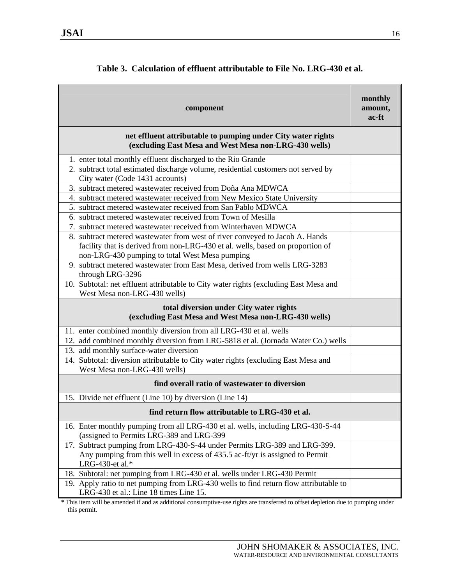| component                                                                                                                                      | monthly<br>amount,<br>ac-ft |  |  |  |
|------------------------------------------------------------------------------------------------------------------------------------------------|-----------------------------|--|--|--|
| net effluent attributable to pumping under City water rights<br>(excluding East Mesa and West Mesa non-LRG-430 wells)                          |                             |  |  |  |
| 1. enter total monthly effluent discharged to the Rio Grande                                                                                   |                             |  |  |  |
| 2. subtract total estimated discharge volume, residential customers not served by<br>City water (Code 1431 accounts)                           |                             |  |  |  |
| 3. subtract metered wastewater received from Doña Ana MDWCA                                                                                    |                             |  |  |  |
| 4. subtract metered wastewater received from New Mexico State University                                                                       |                             |  |  |  |
| 5. subtract metered wastewater received from San Pablo MDWCA                                                                                   |                             |  |  |  |
| 6. subtract metered wastewater received from Town of Mesilla                                                                                   |                             |  |  |  |
| 7. subtract metered wastewater received from Winterhaven MDWCA<br>8. subtract metered wastewater from west of river conveyed to Jacob A. Hands |                             |  |  |  |
| facility that is derived from non-LRG-430 et al. wells, based on proportion of                                                                 |                             |  |  |  |
| non-LRG-430 pumping to total West Mesa pumping                                                                                                 |                             |  |  |  |
| 9. subtract metered wastewater from East Mesa, derived from wells LRG-3283<br>through LRG-3296                                                 |                             |  |  |  |
| 10. Subtotal: net effluent attributable to City water rights (excluding East Mesa and<br>West Mesa non-LRG-430 wells)                          |                             |  |  |  |
| total diversion under City water rights<br>(excluding East Mesa and West Mesa non-LRG-430 wells)                                               |                             |  |  |  |
| 11. enter combined monthly diversion from all LRG-430 et al. wells                                                                             |                             |  |  |  |
| 12. add combined monthly diversion from LRG-5818 et al. (Jornada Water Co.) wells                                                              |                             |  |  |  |
| 13. add monthly surface-water diversion                                                                                                        |                             |  |  |  |
| 14. Subtotal: diversion attributable to City water rights (excluding East Mesa and<br>West Mesa non-LRG-430 wells)                             |                             |  |  |  |
| find overall ratio of wastewater to diversion                                                                                                  |                             |  |  |  |
| 15. Divide net effluent (Line 10) by diversion (Line 14)                                                                                       |                             |  |  |  |
| find return flow attributable to LRG-430 et al.                                                                                                |                             |  |  |  |
| 16. Enter monthly pumping from all LRG-430 et al. wells, including LRG-430-S-44<br>(assigned to Permits LRG-389 and LRG-399                    |                             |  |  |  |
| 17. Subtract pumping from LRG-430-S-44 under Permits LRG-389 and LRG-399.                                                                      |                             |  |  |  |
| Any pumping from this well in excess of 435.5 ac-ft/yr is assigned to Permit<br>LRG-430-et al.*                                                |                             |  |  |  |
| 18. Subtotal: net pumping from LRG-430 et al. wells under LRG-430 Permit                                                                       |                             |  |  |  |
| 19. Apply ratio to net pumping from LRG-430 wells to find return flow attributable to<br>LRG-430 et al.: Line 18 times Line 15.                |                             |  |  |  |

|  |  | Table 3. Calculation of effluent attributable to File No. LRG-430 et al. |
|--|--|--------------------------------------------------------------------------|
|  |  |                                                                          |

**\*** This item will be amended if and as additional consumptive-use rights are transferred to offset depletion due to pumping under this permit.